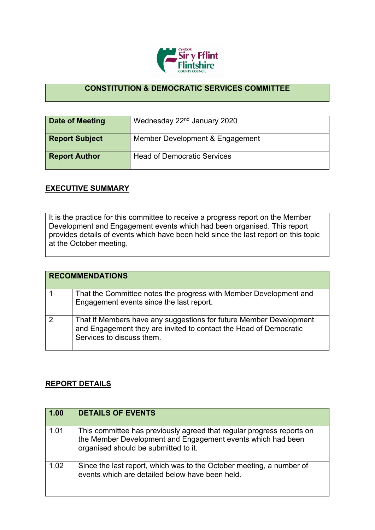

## **CONSTITUTION & DEMOCRATIC SERVICES COMMITTEE**

| Date of Meeting       | Wednesday 22 <sup>nd</sup> January 2020 |
|-----------------------|-----------------------------------------|
| <b>Report Subject</b> | Member Development & Engagement         |
| <b>Report Author</b>  | <b>Head of Democratic Services</b>      |

## **EXECUTIVE SUMMARY**

It is the practice for this committee to receive a progress report on the Member Development and Engagement events which had been organised. This report provides details of events which have been held since the last report on this topic at the October meeting.

|   | <b>RECOMMENDATIONS</b>                                                                                                                                               |
|---|----------------------------------------------------------------------------------------------------------------------------------------------------------------------|
|   | That the Committee notes the progress with Member Development and<br>Engagement events since the last report.                                                        |
| 2 | That if Members have any suggestions for future Member Development<br>and Engagement they are invited to contact the Head of Democratic<br>Services to discuss them. |

## **REPORT DETAILS**

| 1.00 | <b>DETAILS OF EVENTS</b>                                                                                                                                                     |
|------|------------------------------------------------------------------------------------------------------------------------------------------------------------------------------|
| 1.01 | This committee has previously agreed that regular progress reports on<br>the Member Development and Engagement events which had been<br>organised should be submitted to it. |
| 1.02 | Since the last report, which was to the October meeting, a number of<br>events which are detailed below have been held.                                                      |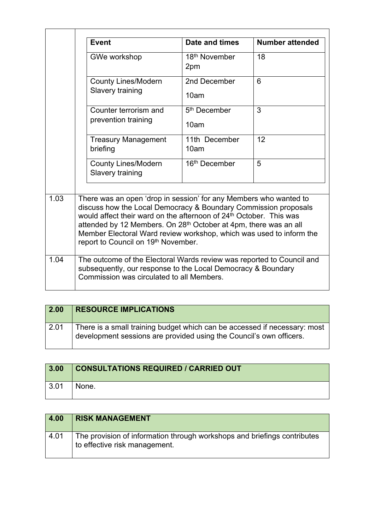|      | <b>Event</b>                                                                                                                                                                                                                                                                                                                                                                                                         | Date and times                   | <b>Number attended</b> |
|------|----------------------------------------------------------------------------------------------------------------------------------------------------------------------------------------------------------------------------------------------------------------------------------------------------------------------------------------------------------------------------------------------------------------------|----------------------------------|------------------------|
|      | GWe workshop                                                                                                                                                                                                                                                                                                                                                                                                         | 18 <sup>th</sup> November<br>2pm | 18                     |
|      | <b>County Lines/Modern</b><br>Slavery training                                                                                                                                                                                                                                                                                                                                                                       | 2nd December<br>10am             | 6                      |
|      | Counter terrorism and<br>prevention training                                                                                                                                                                                                                                                                                                                                                                         | 5 <sup>th</sup> December<br>10am | 3                      |
|      | <b>Treasury Management</b><br>briefing                                                                                                                                                                                                                                                                                                                                                                               | 11th December<br>10am            | 12                     |
|      | <b>County Lines/Modern</b><br>Slavery training                                                                                                                                                                                                                                                                                                                                                                       | 16 <sup>th</sup> December        | 5                      |
| 1.03 | There was an open 'drop in session' for any Members who wanted to<br>discuss how the Local Democracy & Boundary Commission proposals<br>would affect their ward on the afternoon of 24 <sup>th</sup> October. This was<br>attended by 12 Members. On 28 <sup>th</sup> October at 4pm, there was an all<br>Member Electoral Ward review workshop, which was used to inform the<br>report to Council on 19th November. |                                  |                        |
| 1.04 | The outcome of the Electoral Wards review was reported to Council and<br>subsequently, our response to the Local Democracy & Boundary<br>Commission was circulated to all Members.                                                                                                                                                                                                                                   |                                  |                        |

| $\vert$ 2.00 | <b>RESOURCE IMPLICATIONS</b>                                                                                                                     |
|--------------|--------------------------------------------------------------------------------------------------------------------------------------------------|
| 2.01         | There is a small training budget which can be accessed if necessary: most<br>development sessions are provided using the Council's own officers. |

| 3.00         | <b>CONSULTATIONS REQUIRED / CARRIED OUT</b> |
|--------------|---------------------------------------------|
| $\vert 3.01$ | None.                                       |

| 4.00 | <b>RISK MANAGEMENT</b>                                                                                    |
|------|-----------------------------------------------------------------------------------------------------------|
| 4.01 | The provision of information through workshops and briefings contributes<br>to effective risk management. |